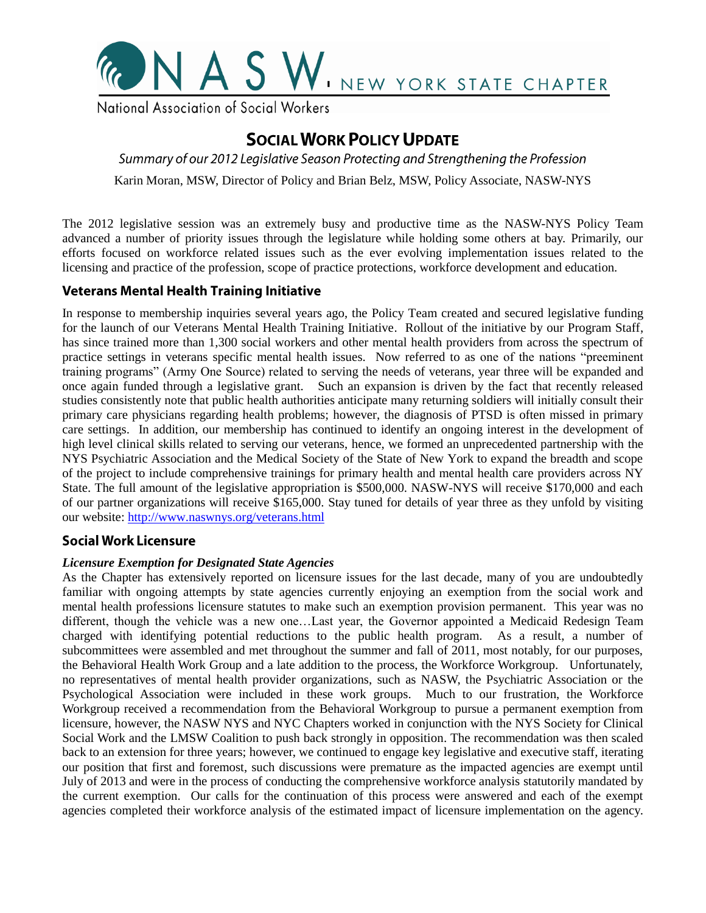

National Association of Social Workers

# **SOCIAL WORK POLICY UPDATE**

Summary of our 2012 Legislative Season Protecting and Strengthening the Profession

Karin Moran, MSW, Director of Policy and Brian Belz, MSW, Policy Associate, NASW-NYS

The 2012 legislative session was an extremely busy and productive time as the NASW-NYS Policy Team advanced a number of priority issues through the legislature while holding some others at bay. Primarily, our efforts focused on workforce related issues such as the ever evolving implementation issues related to the licensing and practice of the profession, scope of practice protections, workforce development and education.

# **Veterans Mental Health Training Initiative**

In response to membership inquiries several years ago, the Policy Team created and secured legislative funding for the launch of our Veterans Mental Health Training Initiative. Rollout of the initiative by our Program Staff, has since trained more than 1,300 social workers and other mental health providers from across the spectrum of practice settings in veterans specific mental health issues. Now referred to as one of the nations "preeminent training programs" (Army One Source) related to serving the needs of veterans, year three will be expanded and once again funded through a legislative grant. Such an expansion is driven by the fact that recently released studies consistently note that public health authorities anticipate many returning soldiers will initially consult their primary care physicians regarding health problems; however, the diagnosis of PTSD is often missed in primary care settings. In addition, our membership has continued to identify an ongoing interest in the development of high level clinical skills related to serving our veterans, hence, we formed an unprecedented partnership with the NYS Psychiatric Association and the Medical Society of the State of New York to expand the breadth and scope of the project to include comprehensive trainings for primary health and mental health care providers across NY State. The full amount of the legislative appropriation is \$500,000. NASW-NYS will receive \$170,000 and each of our partner organizations will receive \$165,000. Stay tuned for details of year three as they unfold by visiting our website:<http://www.naswnys.org/veterans.html>

# **Social Work Licensure**

#### *Licensure Exemption for Designated State Agencies*

As the Chapter has extensively reported on licensure issues for the last decade, many of you are undoubtedly familiar with ongoing attempts by state agencies currently enjoying an exemption from the social work and mental health professions licensure statutes to make such an exemption provision permanent. This year was no different, though the vehicle was a new one…Last year, the Governor appointed a Medicaid Redesign Team charged with identifying potential reductions to the public health program. As a result, a number of subcommittees were assembled and met throughout the summer and fall of 2011, most notably, for our purposes, the Behavioral Health Work Group and a late addition to the process, the Workforce Workgroup. Unfortunately, no representatives of mental health provider organizations, such as NASW, the Psychiatric Association or the Psychological Association were included in these work groups. Much to our frustration, the Workforce Workgroup received a recommendation from the Behavioral Workgroup to pursue a permanent exemption from licensure, however, the NASW NYS and NYC Chapters worked in conjunction with the NYS Society for Clinical Social Work and the LMSW Coalition to push back strongly in opposition. The recommendation was then scaled back to an extension for three years; however, we continued to engage key legislative and executive staff, iterating our position that first and foremost, such discussions were premature as the impacted agencies are exempt until July of 2013 and were in the process of conducting the comprehensive workforce analysis statutorily mandated by the current exemption. Our calls for the continuation of this process were answered and each of the exempt agencies completed their workforce analysis of the estimated impact of licensure implementation on the agency.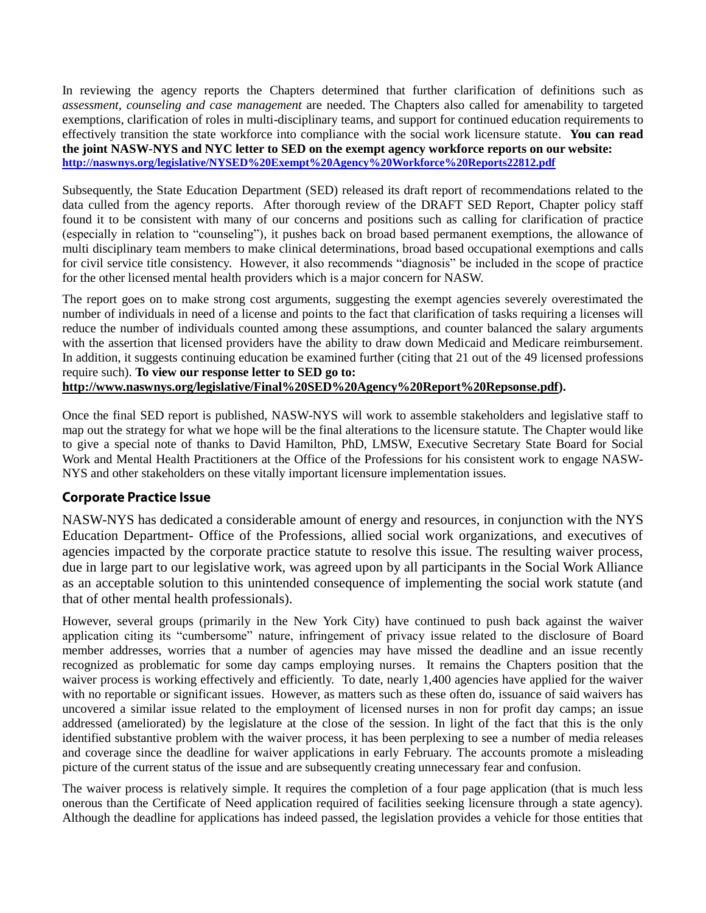In reviewing the agency reports the Chapters determined that further clarification of definitions such as *assessment, counseling and case management* are needed. The Chapters also called for amenability to targeted exemptions, clarification of roles in multi-disciplinary teams, and support for continued education requirements to effectively transition the state workforce into compliance with the social work licensure statute. **You can read the joint NASW-NYS and NYC letter to SED on the exempt agency workforce reports on our website: <http://naswnys.org/legislative/NYSED%20Exempt%20Agency%20Workforce%20Reports22812.pdf>** 

Subsequently, the State Education Department (SED) released its draft report of recommendations related to the data culled from the agency reports. After thorough review of the DRAFT SED Report, Chapter policy staff found it to be consistent with many of our concerns and positions such as calling for clarification of practice (especially in relation to "counseling"), it pushes back on broad based permanent exemptions, the allowance of multi disciplinary team members to make clinical determinations, broad based occupational exemptions and calls for civil service title consistency. However, it also recommends "diagnosis" be included in the scope of practice for the other licensed mental health providers which is a major concern for NASW.

The report goes on to make strong cost arguments, suggesting the exempt agencies severely overestimated the number of individuals in need of a license and points to the fact that clarification of tasks requiring a licenses will reduce the number of individuals counted among these assumptions, and counter balanced the salary arguments with the assertion that licensed providers have the ability to draw down Medicaid and Medicare reimbursement. In addition, it suggests continuing education be examined further (citing that 21 out of the 49 licensed professions require such). **To view our response letter to SED go to: [http://www.naswnys.org/legislative/Final%20SED%20Agency%20Report%20Repsonse.pdf\)](http://www.naswnys.org/legislative/Final%20SED%20Agency%20Report%20Repsonse.pdf).**

Once the final SED report is published, NASW-NYS will work to assemble stakeholders and legislative staff to map out the strategy for what we hope will be the final alterations to the licensure statute. The Chapter would like to give a special note of thanks to David Hamilton, PhD, LMSW, Executive Secretary State Board for Social Work and Mental Health Practitioners at the Office of the Professions for his consistent work to engage NASW-NYS and other stakeholders on these vitally important licensure implementation issues.

#### **Corporate Practice Issue**

NASW-NYS has dedicated a considerable amount of energy and resources, in conjunction with the NYS Education Department- Office of the Professions, allied social work organizations, and executives of agencies impacted by the corporate practice statute to resolve this issue. The resulting waiver process, due in large part to our legislative work, was agreed upon by all participants in the Social Work Alliance as an acceptable solution to this unintended consequence of implementing the social work statute (and that of other mental health professionals).

However, several groups (primarily in the New York City) have continued to push back against the waiver application citing its "cumbersome" nature, infringement of privacy issue related to the disclosure of Board member addresses, worries that a number of agencies may have missed the deadline and an issue recently recognized as problematic for some day camps employing nurses. It remains the Chapters position that the waiver process is working effectively and efficiently. To date, nearly 1,400 agencies have applied for the waiver with no reportable or significant issues. However, as matters such as these often do, issuance of said waivers has uncovered a similar issue related to the employment of licensed nurses in non for profit day camps; an issue addressed (ameliorated) by the legislature at the close of the session. In light of the fact that this is the only identified substantive problem with the waiver process, it has been perplexing to see a number of media releases and coverage since the deadline for waiver applications in early February. The accounts promote a misleading picture of the current status of the issue and are subsequently creating unnecessary fear and confusion.

The waiver process is relatively simple. It requires the completion of a four page application (that is much less onerous than the Certificate of Need application required of facilities seeking licensure through a state agency). Although the deadline for applications has indeed passed, the legislation provides a vehicle for those entities that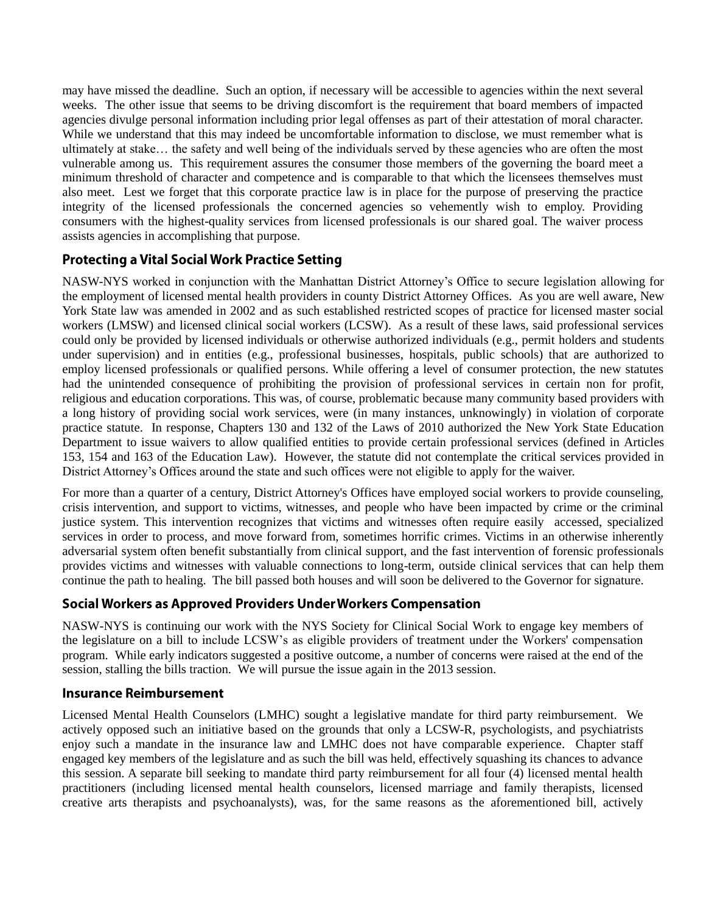may have missed the deadline. Such an option, if necessary will be accessible to agencies within the next several weeks. The other issue that seems to be driving discomfort is the requirement that board members of impacted agencies divulge personal information including prior legal offenses as part of their attestation of moral character. While we understand that this may indeed be uncomfortable information to disclose, we must remember what is ultimately at stake… the safety and well being of the individuals served by these agencies who are often the most vulnerable among us. This requirement assures the consumer those members of the governing the board meet a minimum threshold of character and competence and is comparable to that which the licensees themselves must also meet. Lest we forget that this corporate practice law is in place for the purpose of preserving the practice integrity of the licensed professionals the concerned agencies so vehemently wish to employ. Providing consumers with the highest-quality services from licensed professionals is our shared goal. The waiver process assists agencies in accomplishing that purpose.

# **Protecting a Vital Social Work Practice Setting**

NASW-NYS worked in conjunction with the Manhattan District Attorney's Office to secure legislation allowing for the employment of licensed mental health providers in county District Attorney Offices. As you are well aware, New York State law was amended in 2002 and as such established restricted scopes of practice for licensed master social workers (LMSW) and licensed clinical social workers (LCSW). As a result of these laws, said professional services could only be provided by licensed individuals or otherwise authorized individuals (e.g., permit holders and students under supervision) and in entities (e.g., professional businesses, hospitals, public schools) that are authorized to employ licensed professionals or qualified persons. While offering a level of consumer protection, the new statutes had the unintended consequence of prohibiting the provision of professional services in certain non for profit, religious and education corporations. This was, of course, problematic because many community based providers with a long history of providing social work services, were (in many instances, unknowingly) in violation of corporate practice statute. In response, Chapters 130 and 132 of the Laws of 2010 authorized the New York State Education Department to issue waivers to allow qualified entities to provide certain professional services (defined in [Articles](http://www.op.nysed.gov/title8/home.html)  [153, 154 and 163 of the Education Law\)](http://www.op.nysed.gov/title8/home.html). However, the statute did not contemplate the critical services provided in District Attorney's Offices around the state and such offices were not eligible to apply for the waiver.

For more than a quarter of a century, District Attorney's Offices have employed social workers to provide counseling, crisis intervention, and support to victims, witnesses, and people who have been impacted by crime or the criminal justice system. This intervention recognizes that victims and witnesses often require easily accessed, specialized services in order to process, and move forward from, sometimes horrific crimes. Victims in an otherwise inherently adversarial system often benefit substantially from clinical support, and the fast intervention of forensic professionals provides victims and witnesses with valuable connections to long-term, outside clinical services that can help them continue the path to healing. The bill passed both houses and will soon be delivered to the Governor for signature.

# Social Workers as Approved Providers Under Workers Compensation

NASW-NYS is continuing our work with the NYS Society for Clinical Social Work to engage key members of the legislature on a bill to include LCSW's as eligible providers of treatment under the Workers' compensation program. While early indicators suggested a positive outcome, a number of concerns were raised at the end of the session, stalling the bills traction. We will pursue the issue again in the 2013 session.

# **Insurance Reimbursement**

Licensed Mental Health Counselors (LMHC) sought a legislative mandate for third party reimbursement. We actively opposed such an initiative based on the grounds that only a LCSW-R, psychologists, and psychiatrists enjoy such a mandate in the insurance law and LMHC does not have comparable experience. Chapter staff engaged key members of the legislature and as such the bill was held, effectively squashing its chances to advance this session. A separate bill seeking to mandate third party reimbursement for all four (4) licensed mental health practitioners (including licensed mental health counselors, licensed marriage and family therapists, licensed creative arts therapists and psychoanalysts), was, for the same reasons as the aforementioned bill, actively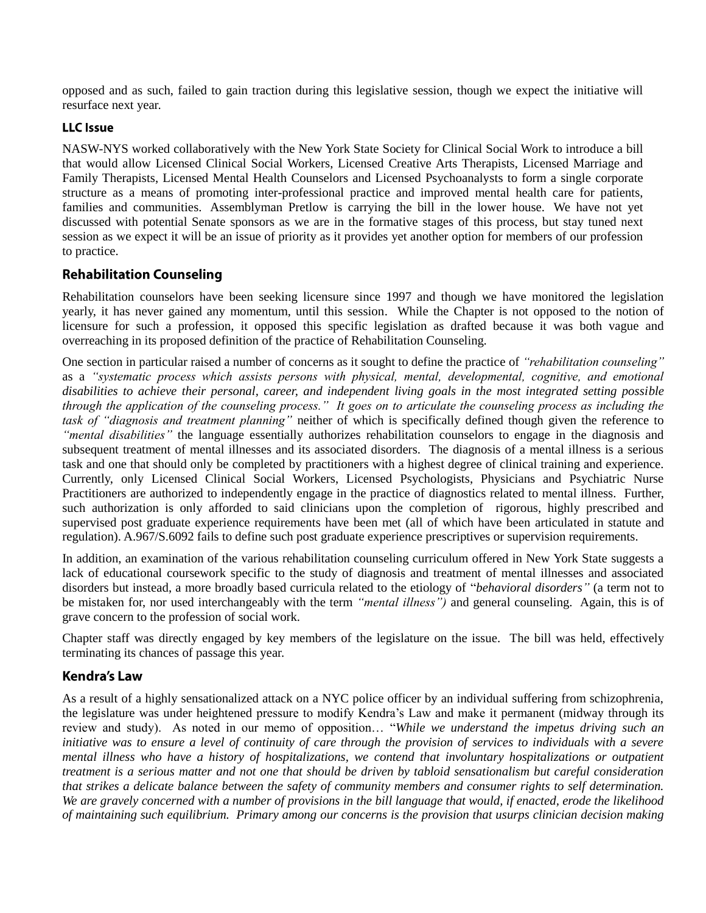opposed and as such, failed to gain traction during this legislative session, though we expect the initiative will resurface next year.

#### **LLC** Issue

NASW-NYS worked collaboratively with the New York State Society for Clinical Social Work to introduce a bill that would allow Licensed Clinical Social Workers, Licensed Creative Arts Therapists, Licensed Marriage and Family Therapists, Licensed Mental Health Counselors and Licensed Psychoanalysts to form a single corporate structure as a means of promoting inter-professional practice and improved mental health care for patients, families and communities. Assemblyman Pretlow is carrying the bill in the lower house. We have not yet discussed with potential Senate sponsors as we are in the formative stages of this process, but stay tuned next session as we expect it will be an issue of priority as it provides yet another option for members of our profession to practice.

# **Rehabilitation Counseling**

Rehabilitation counselors have been seeking licensure since 1997 and though we have monitored the legislation yearly, it has never gained any momentum, until this session. While the Chapter is not opposed to the notion of licensure for such a profession, it opposed this specific legislation as drafted because it was both vague and overreaching in its proposed definition of the practice of Rehabilitation Counseling.

One section in particular raised a number of concerns as it sought to define the practice of *"rehabilitation counseling"* as a *"systematic process which assists persons with physical, mental, developmental, cognitive, and emotional disabilities to achieve their personal, career, and independent living goals in the most integrated setting possible through the application of the counseling process." It goes on to articulate the counseling process as including the task of "diagnosis and treatment planning"* neither of which is specifically defined though given the reference to *"mental disabilities"* the language essentially authorizes rehabilitation counselors to engage in the diagnosis and subsequent treatment of mental illnesses and its associated disorders. The diagnosis of a mental illness is a serious task and one that should only be completed by practitioners with a highest degree of clinical training and experience. Currently, only Licensed Clinical Social Workers, Licensed Psychologists, Physicians and Psychiatric Nurse Practitioners are authorized to independently engage in the practice of diagnostics related to mental illness. Further, such authorization is only afforded to said clinicians upon the completion of rigorous, highly prescribed and supervised post graduate experience requirements have been met (all of which have been articulated in statute and regulation). A.967/S.6092 fails to define such post graduate experience prescriptives or supervision requirements.

In addition, an examination of the various rehabilitation counseling curriculum offered in New York State suggests a lack of educational coursework specific to the study of diagnosis and treatment of mental illnesses and associated disorders but instead, a more broadly based curricula related to the etiology of "*behavioral disorders"* (a term not to be mistaken for, nor used interchangeably with the term *"mental illness")* and general counseling. Again, this is of grave concern to the profession of social work.

Chapter staff was directly engaged by key members of the legislature on the issue. The bill was held, effectively terminating its chances of passage this year.

# **Kendra's Law**

As a result of a highly sensationalized attack on a NYC police officer by an individual suffering from schizophrenia, the legislature was under heightened pressure to modify Kendra's Law and make it permanent (midway through its review and study). As noted in our memo of opposition… "*While we understand the impetus driving such an initiative was to ensure a level of continuity of care through the provision of services to individuals with a severe mental illness who have a history of hospitalizations, we contend that involuntary hospitalizations or outpatient treatment is a serious matter and not one that should be driven by tabloid sensationalism but careful consideration that strikes a delicate balance between the safety of community members and consumer rights to self determination. We are gravely concerned with a number of provisions in the bill language that would, if enacted, erode the likelihood of maintaining such equilibrium. Primary among our concerns is the provision that usurps clinician decision making*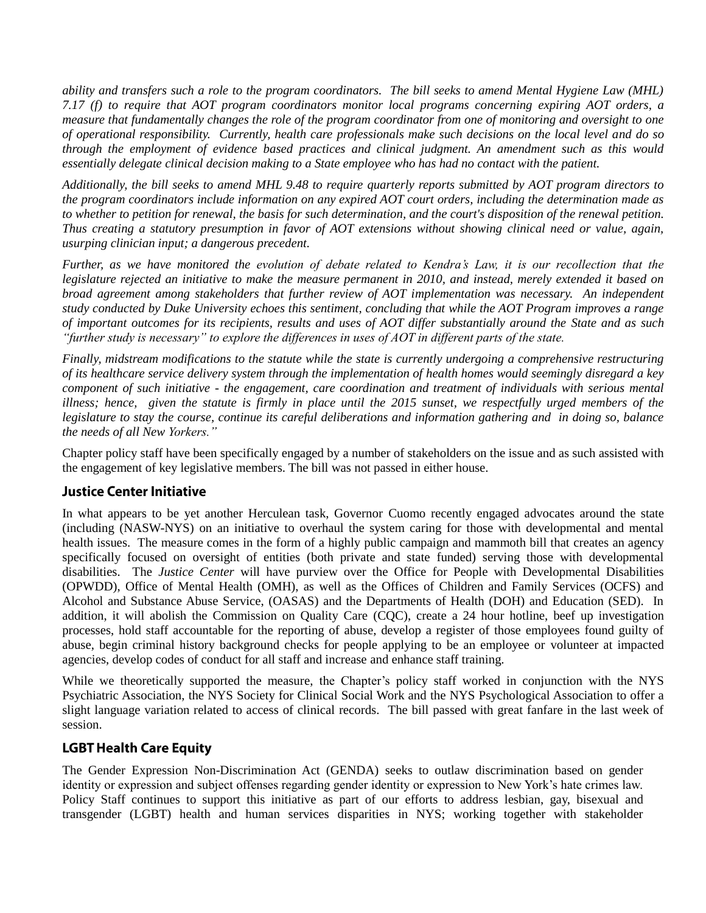*ability and transfers such a role to the program coordinators. The bill seeks to amend Mental Hygiene Law (MHL) 7.17 (f) to require that AOT program coordinators monitor local programs concerning expiring AOT orders, a measure that fundamentally changes the role of the program coordinator from one of monitoring and oversight to one of operational responsibility. Currently, health care professionals make such decisions on the local level and do so through the employment of evidence based practices and clinical judgment. An amendment such as this would essentially delegate clinical decision making to a State employee who has had no contact with the patient.* 

*Additionally, the bill seeks to amend MHL 9.48 to require quarterly reports submitted by AOT program directors to the program coordinators include information on any expired AOT court orders, including the determination made as to whether to petition for renewal, the basis for such determination, and the court's disposition of the renewal petition. Thus creating a statutory presumption in favor of AOT extensions without showing clinical need or value, again, usurping clinician input; a dangerous precedent.*

*Further, as we have monitored the evolution of debate related to Kendra's Law, it is our recollection that the legislature rejected an initiative to make the measure permanent in 2010, and instead, merely extended it based on broad agreement among stakeholders that further review of AOT implementation was necessary. An independent study conducted by Duke University echoes this sentiment, concluding that while the AOT Program improves a range of important outcomes for its recipients, results and uses of AOT differ substantially around the State and as such "further study is necessary" to explore the differences in uses of AOT in different parts of the state.* 

*Finally, midstream modifications to the statute while the state is currently undergoing a comprehensive restructuring of its healthcare service delivery system through the implementation of health homes would seemingly disregard a key component of such initiative - the engagement, care coordination and treatment of individuals with serious mental illness; hence, given the statute is firmly in place until the 2015 sunset, we respectfully urged members of the legislature to stay the course, continue its careful deliberations and information gathering and in doing so, balance the needs of all New Yorkers."*

Chapter policy staff have been specifically engaged by a number of stakeholders on the issue and as such assisted with the engagement of key legislative members. The bill was not passed in either house.

#### **Justice Center Initiative**

In what appears to be yet another Herculean task, Governor Cuomo recently engaged advocates around the state (including (NASW-NYS) on an initiative to overhaul the system caring for those with developmental and mental health issues. The measure comes in the form of a highly public campaign and mammoth bill that creates an agency specifically focused on oversight of entities (both private and state funded) serving those with developmental disabilities. The *Justice Center* will have purview over the Office for People with Developmental Disabilities (OPWDD), Office of Mental Health (OMH), as well as the Offices of Children and Family Services (OCFS) and Alcohol and Substance Abuse Service, (OASAS) and the Departments of Health (DOH) and Education (SED). In addition, it will abolish the Commission on Quality Care (CQC), create a 24 hour hotline, beef up investigation processes, hold staff accountable for the reporting of abuse, develop a register of those employees found guilty of abuse, begin criminal history background checks for people applying to be an employee or volunteer at impacted agencies, develop codes of conduct for all staff and increase and enhance staff training.

While we theoretically supported the measure, the Chapter's policy staff worked in conjunction with the NYS Psychiatric Association, the NYS Society for Clinical Social Work and the NYS Psychological Association to offer a slight language variation related to access of clinical records. The bill passed with great fanfare in the last week of session.

# **LGBT Health Care Equity**

The Gender Expression Non-Discrimination Act (GENDA) seeks to outlaw discrimination based on gender identity or expression and subject offenses regarding gender identity or expression to New York's hate crimes law. Policy Staff continues to support this initiative as part of our efforts to address lesbian, gay, bisexual and transgender (LGBT) health and human services disparities in NYS; working together with stakeholder